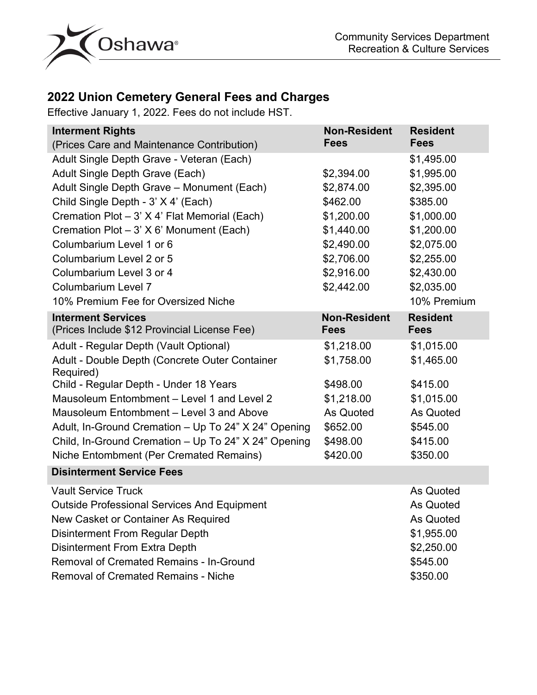

## **2022 Union Cemetery General Fees and Charges**

Effective January 1, 2022. Fees do not include HST.

| <b>Interment Rights</b>                                     | <b>Non-Resident</b> | <b>Resident</b> |
|-------------------------------------------------------------|---------------------|-----------------|
| (Prices Care and Maintenance Contribution)                  | <b>Fees</b>         | <b>Fees</b>     |
| Adult Single Depth Grave - Veteran (Each)                   |                     | \$1,495.00      |
| Adult Single Depth Grave (Each)                             | \$2,394.00          | \$1,995.00      |
| Adult Single Depth Grave - Monument (Each)                  | \$2,874.00          | \$2,395.00      |
| Child Single Depth - 3' X 4' (Each)                         | \$462.00            | \$385.00        |
| Cremation Plot - 3' X 4' Flat Memorial (Each)               | \$1,200.00          | \$1,000.00      |
| Cremation Plot - 3' X 6' Monument (Each)                    | \$1,440.00          | \$1,200.00      |
| Columbarium Level 1 or 6                                    | \$2,490.00          | \$2,075.00      |
| Columbarium Level 2 or 5                                    | \$2,706.00          | \$2,255.00      |
| Columbarium Level 3 or 4                                    | \$2,916.00          | \$2,430.00      |
| Columbarium Level 7                                         | \$2,442.00          | \$2,035.00      |
| 10% Premium Fee for Oversized Niche                         |                     | 10% Premium     |
| <b>Interment Services</b>                                   | <b>Non-Resident</b> | <b>Resident</b> |
| (Prices Include \$12 Provincial License Fee)                | <b>Fees</b>         | <b>Fees</b>     |
| Adult - Regular Depth (Vault Optional)                      | \$1,218.00          | \$1,015.00      |
| Adult - Double Depth (Concrete Outer Container<br>Required) | \$1,758.00          | \$1,465.00      |
| Child - Regular Depth - Under 18 Years                      | \$498.00            | \$415.00        |
| Mausoleum Entombment - Level 1 and Level 2                  | \$1,218.00          | \$1,015.00      |
| Mausoleum Entombment - Level 3 and Above                    | As Quoted           | As Quoted       |
| Adult, In-Ground Cremation - Up To 24" X 24" Opening        | \$652.00            | \$545.00        |
| Child, In-Ground Cremation - Up To 24" X 24" Opening        | \$498.00            | \$415.00        |
| Niche Entombment (Per Cremated Remains)                     | \$420.00            | \$350.00        |
| <b>Disinterment Service Fees</b>                            |                     |                 |
| <b>Vault Service Truck</b>                                  |                     | As Quoted       |
| <b>Outside Professional Services And Equipment</b>          |                     | As Quoted       |
| New Casket or Container As Required                         |                     | As Quoted       |
| Disinterment From Regular Depth                             |                     | \$1,955.00      |
| <b>Disinterment From Extra Depth</b>                        |                     | \$2,250.00      |
| <b>Removal of Cremated Remains - In-Ground</b>              |                     | \$545.00        |
| <b>Removal of Cremated Remains - Niche</b>                  |                     | \$350.00        |